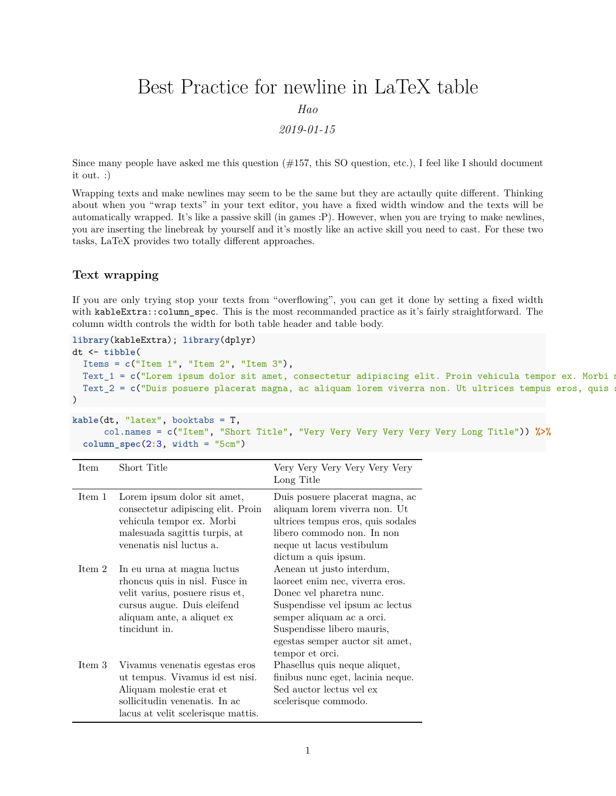## Best Practice for newline in LaTeX table

*Hao*

*2019-01-15*

Since many people have asked me this question  $(\#157, \text{ this SO question}, \text{etc.})$ , I feel like I should document it out. :)

Wrapping texts and make newlines may seem to be the same but they are actaully quite different. Thinking about when you "wrap texts" in your text editor, you have a fixed width window and the texts will be automatically wrapped. It's like a passive skill (in games :P). However, when you are trying to make newlines, you are inserting the linebreak by yourself and it's mostly like an active skill you need to cast. For these two tasks, LaTeX provides two totally different approaches.

## **Text wrapping**

If you are only trying stop your texts from "overflowing", you can get it done by setting a fixed width with kableExtra::column\_spec. This is the most recommanded practice as it's fairly straightforward. The column width controls the width for both table header and table body.

```
library(kableExtra); library(dplyr)
dt <- tibble(
 Items = c("Item 1", "Item 2", "Item 3"),
 Text_1 = c("Lorem ipsum dolor sit amet, consectetur adipiscing elit. Proin vehicula tempor ex. Morbi m
 Text<sub>2</sub> = c("Duis posuere placerat magna, ac aliquam lorem viverra non. Ut ultrices tempus eros, quis
\lambda
```

```
kable(dt, "latex", booktabs = T,
      col.names = c("Item", "Short Title", "Very Very Very Very Very Very Long Title")) %>%
 column_spec(2:3, width = "5cm")
```

| Item   | Short Title                                                                                                                                                                   | Very Very Very Very Very<br>Long Title                                                                                                                                                                                                       |
|--------|-------------------------------------------------------------------------------------------------------------------------------------------------------------------------------|----------------------------------------------------------------------------------------------------------------------------------------------------------------------------------------------------------------------------------------------|
| Item 1 | Lorem ipsum dolor sit amet,<br>consectetur adipiscing elit. Proin<br>vehicula tempor ex. Morbi<br>malesuada sagittis turpis, at<br>venenatis nisl luctus a.                   | Duis posuere placerat magna, ac<br>aliquam lorem viverra non. Ut<br>ultrices tempus eros, quis sodales<br>libero commodo non. In non<br>neque ut lacus vestibulum<br>dictum a quis ipsum.                                                    |
| Item 2 | In eu urna at magna luctus<br>rhoncus quis in nisl. Fusce in<br>velit varius, posuere risus et,<br>cursus augue. Duis eleifend<br>aliquam ante, a aliquet ex<br>tincidunt in. | Aenean ut justo interdum,<br>laoreet enim nec, viverra eros.<br>Donec vel pharetra nunc.<br>Suspendisse vel ipsum ac lectus<br>semper aliquam ac a orci.<br>Suspendisse libero mauris,<br>egestas semper auctor sit amet,<br>tempor et orci. |
| Item 3 | Vivamus venenatis egestas eros<br>ut tempus. Vivamus id est nisi.<br>Aliquam molestie erat et<br>sollicitudin venenatis. In ac<br>lacus at velit scelerisque mattis.          | Phasellus quis neque aliquet,<br>finibus nunc eget, lacinia neque.<br>Sed auctor lectus vel ex<br>scelerisque commodo.                                                                                                                       |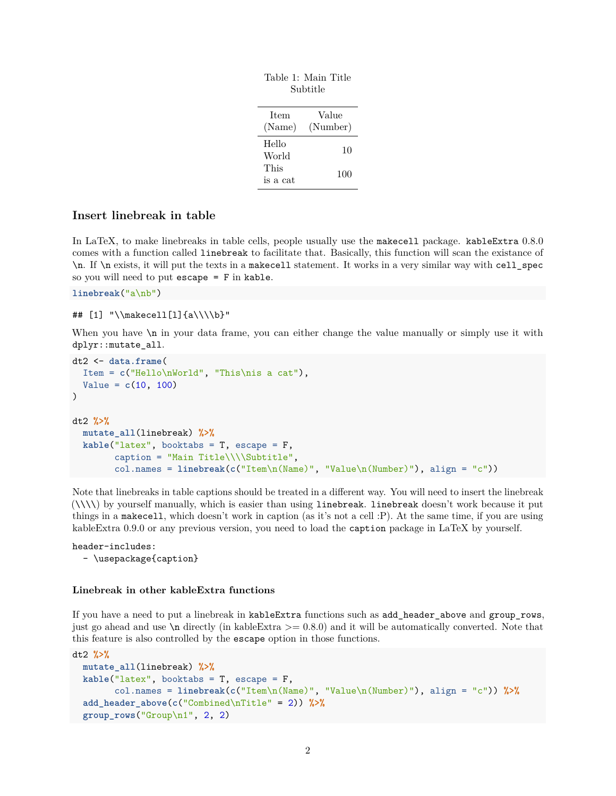| Subtitle      |          |  |
|---------------|----------|--|
| <b>Item</b>   | Value    |  |
| (Name)        | (Number) |  |
| Hello         | 10       |  |
| World<br>This |          |  |
| is a cat      | 100      |  |
|               |          |  |

Table 1: Main Title

## **Insert linebreak in table**

In LaTeX, to make linebreaks in table cells, people usually use the makecell package. kableExtra 0.8.0 comes with a function called linebreak to facilitate that. Basically, this function will scan the existance of \n. If \n exists, it will put the texts in a makecell statement. It works in a very similar way with cell\_spec so you will need to put escape = F in kable.

**linebreak**("a\nb")

```
## [1] "\\makecell[l]{a\\\\b}"
```
When you have  $\ln$  in your data frame, you can either change the value manually or simply use it with dplyr::mutate\_all.

```
dt2 <- data.frame(
 Item = c("Hello\nWorld", "This\nis a cat"),
  Value = c(10, 100)
\lambdadt2 %>%
 mutate_all(linebreak) %>%
  kable("latex", booktabs = T, escape = F,
        caption = "Main Title\\\\Subtitle",
        col.names = linebreak(c("Item\n(Name)", "Value\n(Number)"), align = "c"))
```
Note that linebreaks in table captions should be treated in a different way. You will need to insert the linebreak  $(\{\setminus\})$  by yourself manually, which is easier than using linebreak. linebreak doesn't work because it put things in a makecell, which doesn't work in caption (as it's not a cell :P). At the same time, if you are using kableExtra 0.9.0 or any previous version, you need to load the caption package in LaTeX by yourself.

header-includes: - \usepackage{caption}

## **Linebreak in other kableExtra functions**

If you have a need to put a linebreak in kableExtra functions such as add\_header\_above and group\_rows, just go ahead and use  $\n\alpha$  directly (in kableExtra  $\geq 0.8.0$ ) and it will be automatically converted. Note that this feature is also controlled by the escape option in those functions.

```
dt2 %>%
 mutate_all(linebreak) %>%
  kable("latex", booktabs = T, escape = F,
        col.names = linebreak(c("Item\n(Name)", "Value\n(Number)"), align = "c")) %>%
  add_header_above(c("Combined\nTitle" = 2)) %>%
  group_rows("Group\n1", 2, 2)
```